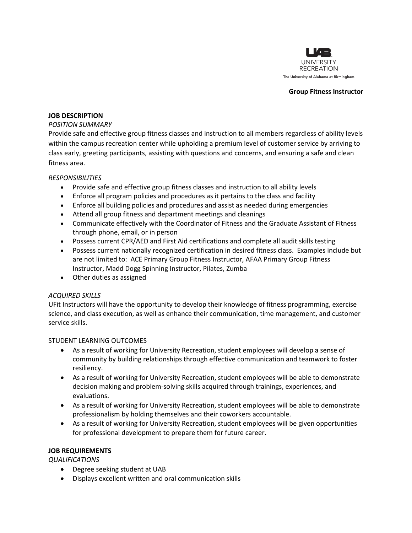

#### **Group Fitness Instructor**

### **JOB DESCRIPTION**

### *POSITION SUMMARY*

Provide safe and effective group fitness classes and instruction to all members regardless of ability levels within the campus recreation center while upholding a premium level of customer service by arriving to class early, greeting participants, assisting with questions and concerns, and ensuring a safe and clean fitness area.

### *RESPONSIBILITIES*

- Provide safe and effective group fitness classes and instruction to all ability levels
- Enforce all program policies and procedures as it pertains to the class and facility
- Enforce all building policies and procedures and assist as needed during emergencies
- Attend all group fitness and department meetings and cleanings
- Communicate effectively with the Coordinator of Fitness and the Graduate Assistant of Fitness through phone, email, or in person
- Possess current CPR/AED and First Aid certifications and complete all audit skills testing
- Possess current nationally recognized certification in desired fitness class. Examples include but are not limited to: ACE Primary Group Fitness Instructor, AFAA Primary Group Fitness Instructor, Madd Dogg Spinning Instructor, Pilates, Zumba
- Other duties as assigned

# *ACQUIRED SKILLS*

UFit Instructors will have the opportunity to develop their knowledge of fitness programming, exercise science, and class execution, as well as enhance their communication, time management, and customer service skills.

# STUDENT LEARNING OUTCOMES

- As a result of working for University Recreation, student employees will develop a sense of community by building relationships through effective communication and teamwork to foster resiliency.
- As a result of working for University Recreation, student employees will be able to demonstrate decision making and problem-solving skills acquired through trainings, experiences, and evaluations.
- As a result of working for University Recreation, student employees will be able to demonstrate professionalism by holding themselves and their coworkers accountable.
- As a result of working for University Recreation, student employees will be given opportunities for professional development to prepare them for future career.

# **JOB REQUIREMENTS**

*QUALIFICATIONS*

- Degree seeking student at UAB
- Displays excellent written and oral communication skills